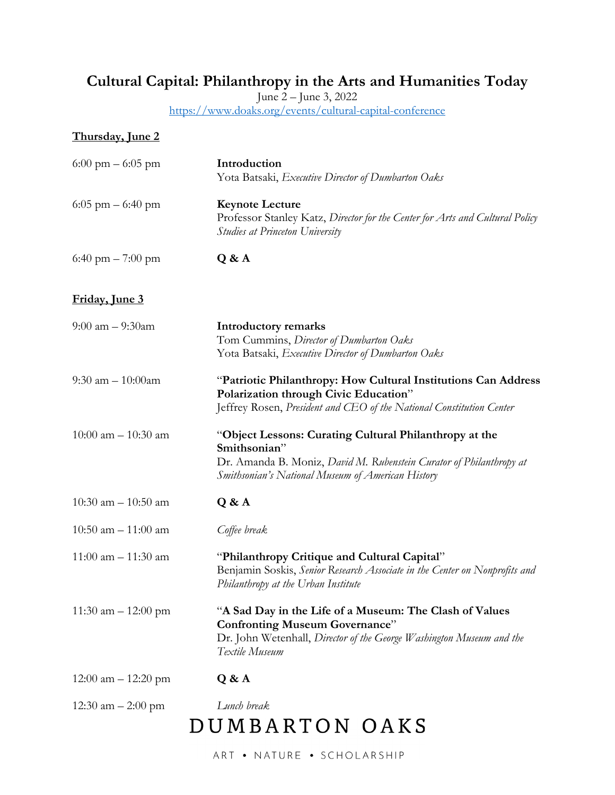## **Cultural Capital: Philanthropy in the Arts and Humanities Today**

June 2 – June 3, 2022

https://www.doaks.org/events/cultural-capital-conference

| <b>Thursday</b> , June 2            |                                                                                                                                                                                                    |
|-------------------------------------|----------------------------------------------------------------------------------------------------------------------------------------------------------------------------------------------------|
| $6:00 \text{ pm} - 6:05 \text{ pm}$ | Introduction<br>Yota Batsaki, Executive Director of Dumbarton Oaks                                                                                                                                 |
| $6:05$ pm $-6:40$ pm                | <b>Keynote Lecture</b><br>Professor Stanley Katz, Director for the Center for Arts and Cultural Policy<br><b>Studies at Princeton University</b>                                                   |
| 6:40 pm $-7:00$ pm                  | Q & A                                                                                                                                                                                              |
| Friday, June 3                      |                                                                                                                                                                                                    |
| $9:00$ am $-9:30$ am                | <b>Introductory remarks</b><br>Tom Cummins, Director of Dumbarton Oaks<br>Yota Batsaki, Executive Director of Dumbarton Oaks                                                                       |
| 9:30 am $- 10:00$ am                | "Patriotic Philanthropy: How Cultural Institutions Can Address<br>Polarization through Civic Education"<br>Jeffrey Rosen, President and CEO of the National Constitution Center                    |
| $10:00$ am $- 10:30$ am             | "Object Lessons: Curating Cultural Philanthropy at the<br>Smithsonian"<br>Dr. Amanda B. Moniz, David M. Rubenstein Curator of Philanthropy at<br>Smithsonian's National Museum of American History |
| 10:30 am $-$ 10:50 am               | Q & A                                                                                                                                                                                              |
| $10:50$ am $- 11:00$ am             | Coffee break                                                                                                                                                                                       |
| $11:00$ am $- 11:30$ am             | "Philanthropy Critique and Cultural Capital"<br>Benjamin Soskis, Senior Research Associate in the Center on Nonprofits and<br>Philanthropy at the Urban Institute                                  |
| 11:30 am $- 12:00$ pm               | "A Sad Day in the Life of a Museum: The Clash of Values<br><b>Confronting Museum Governance"</b><br>Dr. John Wetenhall, Director of the George Washington Museum and the<br>Textile Museum         |
| $12:00$ am $- 12:20$ pm             | Q & A                                                                                                                                                                                              |
| 12:30 am $-$ 2:00 pm                | Lunch break<br>DUMBARTON OAKS                                                                                                                                                                      |

ART . NATURE . SCHOLARSHIP